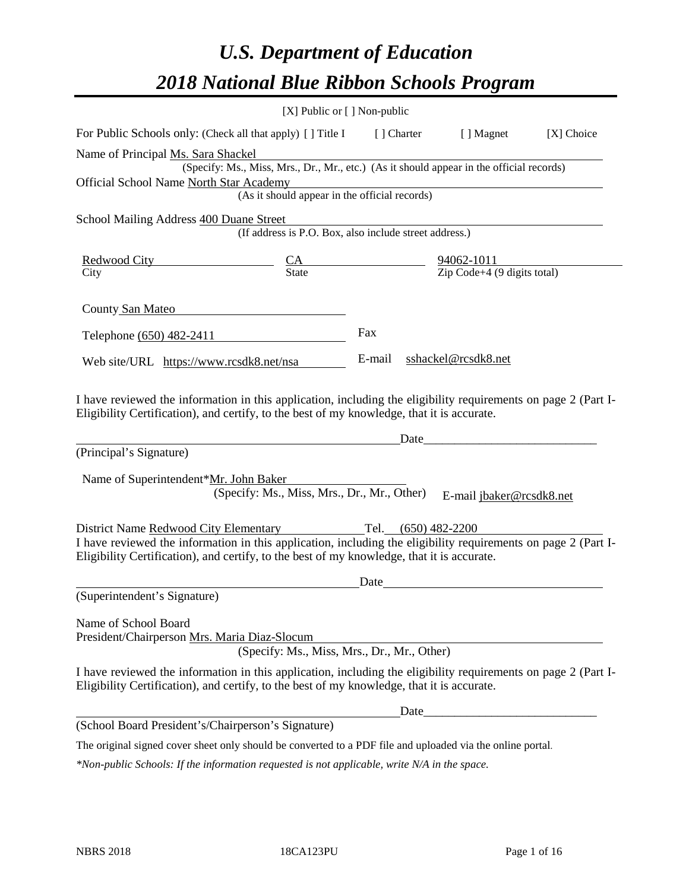# *U.S. Department of Education 2018 National Blue Ribbon Schools Program*

|                                                                                                                                                                                                              | [X] Public or [] Non-public                                                              |        |                     |                                          |
|--------------------------------------------------------------------------------------------------------------------------------------------------------------------------------------------------------------|------------------------------------------------------------------------------------------|--------|---------------------|------------------------------------------|
| For Public Schools only: (Check all that apply) [] Title I [] Charter [] Magnet                                                                                                                              |                                                                                          |        |                     | [X] Choice                               |
| Name of Principal Ms. Sara Shackel                                                                                                                                                                           |                                                                                          |        |                     |                                          |
|                                                                                                                                                                                                              | (Specify: Ms., Miss, Mrs., Dr., Mr., etc.) (As it should appear in the official records) |        |                     |                                          |
| Official School Name North Star Academy                                                                                                                                                                      |                                                                                          |        |                     |                                          |
|                                                                                                                                                                                                              | r Academy<br>(As it should appear in the official records)                               |        |                     |                                          |
| School Mailing Address 400 Duane Street                                                                                                                                                                      |                                                                                          |        |                     |                                          |
|                                                                                                                                                                                                              | (If address is P.O. Box, also include street address.)                                   |        |                     |                                          |
|                                                                                                                                                                                                              |                                                                                          |        |                     |                                          |
| $\frac{\text{Redwood City}}{\text{City}}$ $\frac{\text{CA}}{\text{State}}$ $\frac{94062-1011}{\text{Zip Code}+4 (9 digits total)}$                                                                           |                                                                                          |        |                     |                                          |
|                                                                                                                                                                                                              |                                                                                          |        |                     |                                          |
| County San Mateo                                                                                                                                                                                             |                                                                                          |        |                     |                                          |
| Telephone (650) 482-2411                                                                                                                                                                                     |                                                                                          | Fax    |                     |                                          |
| Web site/URL https://www.rcsdk8.net/nsa                                                                                                                                                                      |                                                                                          | E-mail | sshackel@rcsdk8.net |                                          |
| Eligibility Certification), and certify, to the best of my knowledge, that it is accurate.                                                                                                                   |                                                                                          |        | Date                | <u> 1989 - Johann Barbara, martxa al</u> |
| (Principal's Signature)                                                                                                                                                                                      |                                                                                          |        |                     |                                          |
| Name of Superintendent*Mr. John Baker                                                                                                                                                                        |                                                                                          |        |                     |                                          |
|                                                                                                                                                                                                              | (Specify: Ms., Miss, Mrs., Dr., Mr., Other)                                              |        |                     | E-mail jbaker@rcsdk8.net                 |
| District Name Redwood City Elementary                                                                                                                                                                        |                                                                                          |        | Tel. (650) 482-2200 |                                          |
| I have reviewed the information in this application, including the eligibility requirements on page 2 (Part I-<br>Eligibility Certification), and certify, to the best of my knowledge, that it is accurate. |                                                                                          |        |                     |                                          |
|                                                                                                                                                                                                              |                                                                                          | Date   |                     |                                          |
| (Superintendent's Signature)                                                                                                                                                                                 |                                                                                          |        |                     |                                          |
| Name of School Board<br>President/Chairperson Mrs. Maria Diaz-Slocum                                                                                                                                         |                                                                                          |        |                     |                                          |
|                                                                                                                                                                                                              | (Specify: Ms., Miss, Mrs., Dr., Mr., Other)                                              |        |                     |                                          |
| I have reviewed the information in this application, including the eligibility requirements on page 2 (Part I-<br>Eligibility Certification), and certify, to the best of my knowledge, that it is accurate. |                                                                                          |        |                     |                                          |
|                                                                                                                                                                                                              |                                                                                          |        | Date_               |                                          |
| (School Board President's/Chairperson's Signature)                                                                                                                                                           |                                                                                          |        |                     |                                          |
| The original signed cover sheet only should be converted to a PDF file and uploaded via the online portal.                                                                                                   |                                                                                          |        |                     |                                          |

*\*Non-public Schools: If the information requested is not applicable, write N/A in the space.*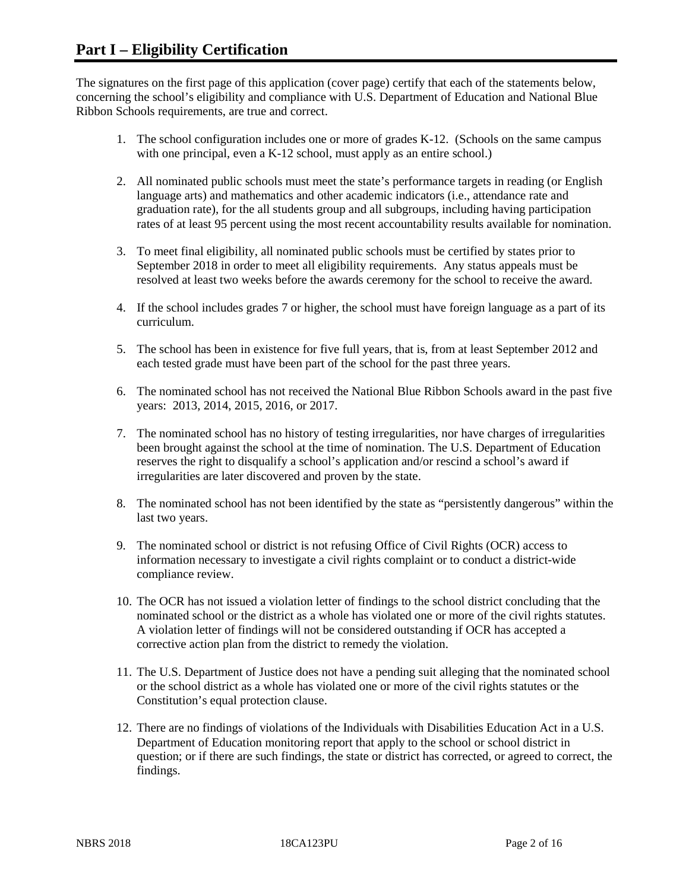The signatures on the first page of this application (cover page) certify that each of the statements below, concerning the school's eligibility and compliance with U.S. Department of Education and National Blue Ribbon Schools requirements, are true and correct.

- 1. The school configuration includes one or more of grades K-12. (Schools on the same campus with one principal, even a K-12 school, must apply as an entire school.)
- 2. All nominated public schools must meet the state's performance targets in reading (or English language arts) and mathematics and other academic indicators (i.e., attendance rate and graduation rate), for the all students group and all subgroups, including having participation rates of at least 95 percent using the most recent accountability results available for nomination.
- 3. To meet final eligibility, all nominated public schools must be certified by states prior to September 2018 in order to meet all eligibility requirements. Any status appeals must be resolved at least two weeks before the awards ceremony for the school to receive the award.
- 4. If the school includes grades 7 or higher, the school must have foreign language as a part of its curriculum.
- 5. The school has been in existence for five full years, that is, from at least September 2012 and each tested grade must have been part of the school for the past three years.
- 6. The nominated school has not received the National Blue Ribbon Schools award in the past five years: 2013, 2014, 2015, 2016, or 2017.
- 7. The nominated school has no history of testing irregularities, nor have charges of irregularities been brought against the school at the time of nomination. The U.S. Department of Education reserves the right to disqualify a school's application and/or rescind a school's award if irregularities are later discovered and proven by the state.
- 8. The nominated school has not been identified by the state as "persistently dangerous" within the last two years.
- 9. The nominated school or district is not refusing Office of Civil Rights (OCR) access to information necessary to investigate a civil rights complaint or to conduct a district-wide compliance review.
- 10. The OCR has not issued a violation letter of findings to the school district concluding that the nominated school or the district as a whole has violated one or more of the civil rights statutes. A violation letter of findings will not be considered outstanding if OCR has accepted a corrective action plan from the district to remedy the violation.
- 11. The U.S. Department of Justice does not have a pending suit alleging that the nominated school or the school district as a whole has violated one or more of the civil rights statutes or the Constitution's equal protection clause.
- 12. There are no findings of violations of the Individuals with Disabilities Education Act in a U.S. Department of Education monitoring report that apply to the school or school district in question; or if there are such findings, the state or district has corrected, or agreed to correct, the findings.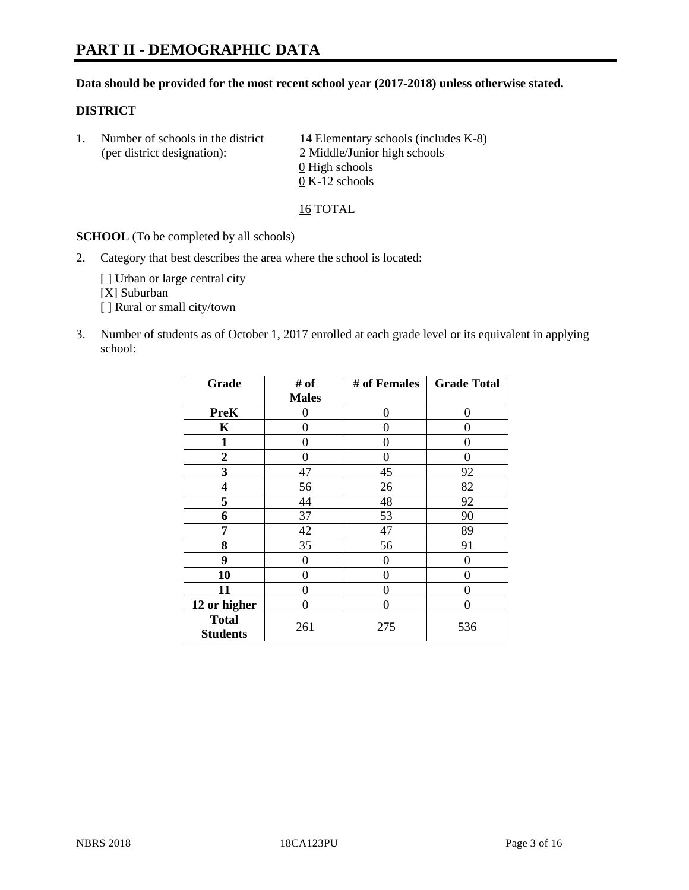# **PART II - DEMOGRAPHIC DATA**

#### **Data should be provided for the most recent school year (2017-2018) unless otherwise stated.**

#### **DISTRICT**

1. Number of schools in the district  $14$  Elementary schools (includes K-8) (per district designation): 2 Middle/Junior high schools 0 High schools 0 K-12 schools

16 TOTAL

**SCHOOL** (To be completed by all schools)

2. Category that best describes the area where the school is located:

[] Urban or large central city [X] Suburban [] Rural or small city/town

3. Number of students as of October 1, 2017 enrolled at each grade level or its equivalent in applying school:

| Grade                           | # of             | # of Females | <b>Grade Total</b> |
|---------------------------------|------------------|--------------|--------------------|
|                                 | <b>Males</b>     |              |                    |
| <b>PreK</b>                     | 0                | 0            | 0                  |
| K                               | 0                | 0            | 0                  |
| $\mathbf{1}$                    | 0                | 0            | 0                  |
| 2                               | 0                | $\Omega$     | 0                  |
| 3                               | 47               | 45           | 92                 |
| 4                               | 56               | 26           | 82                 |
| 5                               | 44               | 48           | 92                 |
| 6                               | 37               | 53           | 90                 |
| 7                               | 42               | 47           | 89                 |
| 8                               | 35               | 56           | 91                 |
| 9                               | $\boldsymbol{0}$ | 0            | 0                  |
| 10                              | 0                | 0            | 0                  |
| 11                              | 0                | 0            | 0                  |
| 12 or higher                    | 0                | 0            | 0                  |
| <b>Total</b><br><b>Students</b> | 261              | 275          | 536                |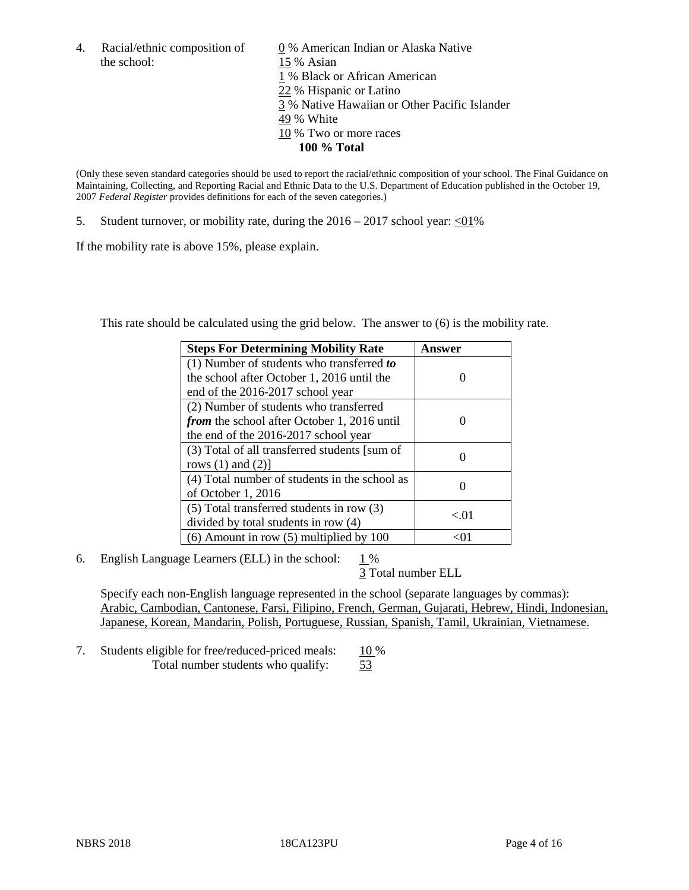the school: 15 % Asian

4. Racial/ethnic composition of  $\qquad 0\%$  American Indian or Alaska Native 1 % Black or African American 22 % Hispanic or Latino 3 % Native Hawaiian or Other Pacific Islander 49 % White 10 % Two or more races **100 % Total**

(Only these seven standard categories should be used to report the racial/ethnic composition of your school. The Final Guidance on Maintaining, Collecting, and Reporting Racial and Ethnic Data to the U.S. Department of Education published in the October 19, 2007 *Federal Register* provides definitions for each of the seven categories.)

5. Student turnover, or mobility rate, during the  $2016 - 2017$  school year: <01%

If the mobility rate is above 15%, please explain.

This rate should be calculated using the grid below. The answer to (6) is the mobility rate.

| <b>Steps For Determining Mobility Rate</b>         | Answer   |
|----------------------------------------------------|----------|
| $(1)$ Number of students who transferred to        |          |
| the school after October 1, 2016 until the         |          |
| end of the 2016-2017 school year                   |          |
| (2) Number of students who transferred             |          |
| <i>from</i> the school after October 1, 2016 until |          |
| the end of the 2016-2017 school year               |          |
| (3) Total of all transferred students [sum of      |          |
| rows $(1)$ and $(2)$ ]                             |          |
| (4) Total number of students in the school as      |          |
| of October 1, 2016                                 |          |
| $(5)$ Total transferred students in row $(3)$      |          |
| divided by total students in row (4)               | ${<}.01$ |
| $(6)$ Amount in row $(5)$ multiplied by 100        |          |

6. English Language Learners (ELL) in the school:  $1\%$ 

3 Total number ELL

Specify each non-English language represented in the school (separate languages by commas): Arabic, Cambodian, Cantonese, Farsi, Filipino, French, German, Gujarati, Hebrew, Hindi, Indonesian, Japanese, Korean, Mandarin, Polish, Portuguese, Russian, Spanish, Tamil, Ukrainian, Vietnamese.

7. Students eligible for free/reduced-priced meals: 10 % Total number students who qualify: 53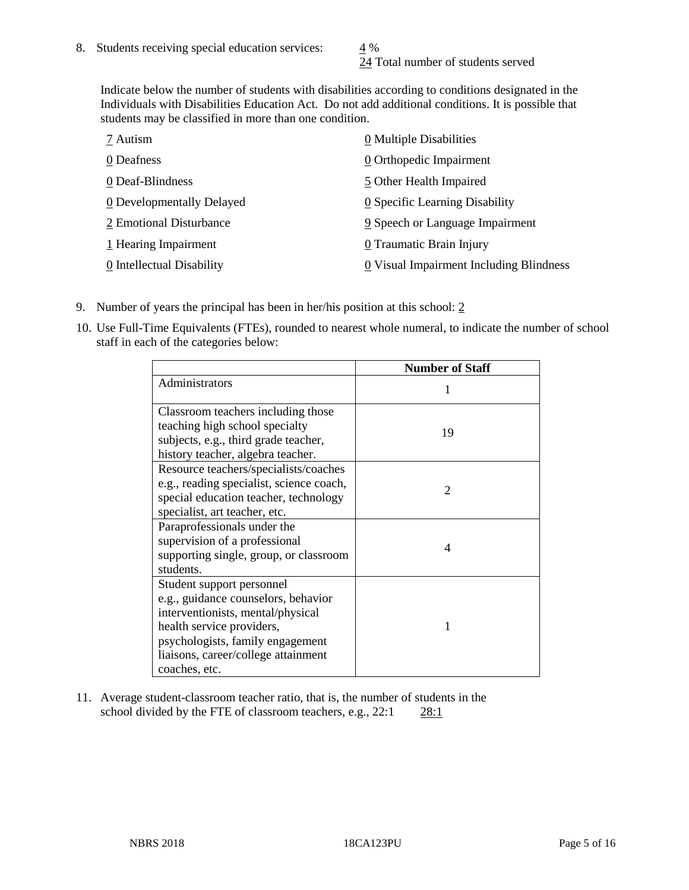24 Total number of students served

Indicate below the number of students with disabilities according to conditions designated in the Individuals with Disabilities Education Act. Do not add additional conditions. It is possible that students may be classified in more than one condition.

| 7 Autism                  | 0 Multiple Disabilities                 |
|---------------------------|-----------------------------------------|
| 0 Deafness                | 0 Orthopedic Impairment                 |
| 0 Deaf-Blindness          | 5 Other Health Impaired                 |
| 0 Developmentally Delayed | 0 Specific Learning Disability          |
| 2 Emotional Disturbance   | 9 Speech or Language Impairment         |
| 1 Hearing Impairment      | 0 Traumatic Brain Injury                |
| 0 Intellectual Disability | 0 Visual Impairment Including Blindness |

- 9. Number of years the principal has been in her/his position at this school:  $2$
- 10. Use Full-Time Equivalents (FTEs), rounded to nearest whole numeral, to indicate the number of school staff in each of the categories below:

|                                                                                                                                                                                                                                | <b>Number of Staff</b>      |
|--------------------------------------------------------------------------------------------------------------------------------------------------------------------------------------------------------------------------------|-----------------------------|
| Administrators                                                                                                                                                                                                                 |                             |
| Classroom teachers including those<br>teaching high school specialty<br>subjects, e.g., third grade teacher,<br>history teacher, algebra teacher.                                                                              | 19                          |
| Resource teachers/specialists/coaches<br>e.g., reading specialist, science coach,<br>special education teacher, technology<br>specialist, art teacher, etc.                                                                    | $\mathcal{D}_{\mathcal{A}}$ |
| Paraprofessionals under the<br>supervision of a professional<br>supporting single, group, or classroom<br>students.                                                                                                            | 4                           |
| Student support personnel<br>e.g., guidance counselors, behavior<br>interventionists, mental/physical<br>health service providers,<br>psychologists, family engagement<br>liaisons, career/college attainment<br>coaches, etc. |                             |

11. Average student-classroom teacher ratio, that is, the number of students in the school divided by the FTE of classroom teachers, e.g., 22:1 28:1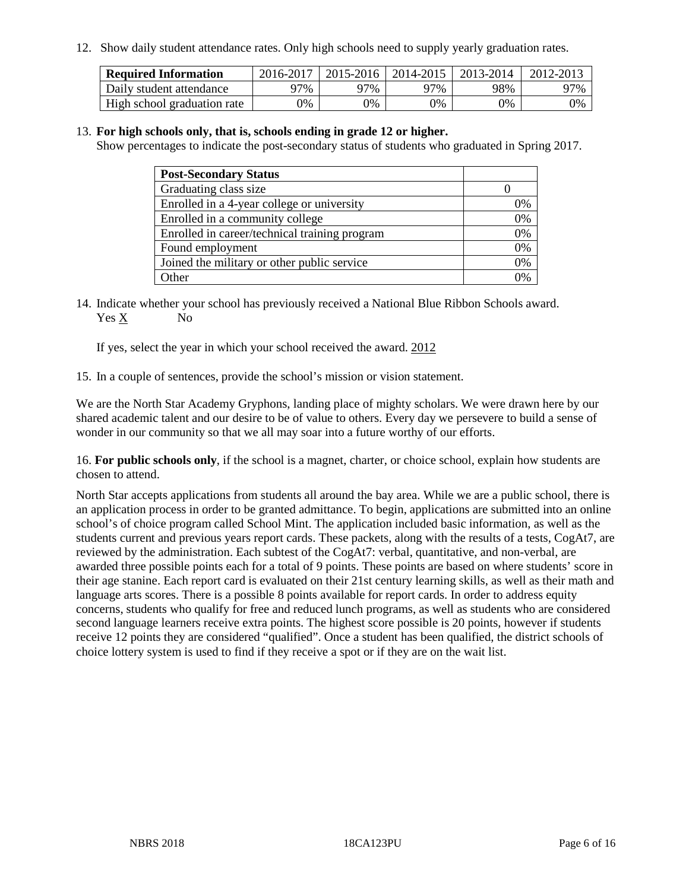12. Show daily student attendance rates. Only high schools need to supply yearly graduation rates.

| <b>Required Information</b> | 2016-2017 | $2015 - 2016$ | 2014-2015 | 2013-2014 | 2012-2013 |
|-----------------------------|-----------|---------------|-----------|-----------|-----------|
| Daily student attendance    | 97%       | 97%           | 97%       | 98%       | 97%       |
| High school graduation rate | 0%        | 0%            | 0%        | 9%        | 0%        |

#### 13. **For high schools only, that is, schools ending in grade 12 or higher.**

Show percentages to indicate the post-secondary status of students who graduated in Spring 2017.

| <b>Post-Secondary Status</b>                  |    |
|-----------------------------------------------|----|
| Graduating class size                         |    |
| Enrolled in a 4-year college or university    | 0% |
| Enrolled in a community college               | 0% |
| Enrolled in career/technical training program | 0% |
| Found employment                              | 0% |
| Joined the military or other public service   | 0% |
| Other                                         | ገ% |

14. Indicate whether your school has previously received a National Blue Ribbon Schools award. Yes X No

If yes, select the year in which your school received the award. 2012

15. In a couple of sentences, provide the school's mission or vision statement.

We are the North Star Academy Gryphons, landing place of mighty scholars. We were drawn here by our shared academic talent and our desire to be of value to others. Every day we persevere to build a sense of wonder in our community so that we all may soar into a future worthy of our efforts.

16. **For public schools only**, if the school is a magnet, charter, or choice school, explain how students are chosen to attend.

North Star accepts applications from students all around the bay area. While we are a public school, there is an application process in order to be granted admittance. To begin, applications are submitted into an online school's of choice program called School Mint. The application included basic information, as well as the students current and previous years report cards. These packets, along with the results of a tests, CogAt7, are reviewed by the administration. Each subtest of the CogAt7: verbal, quantitative, and non-verbal, are awarded three possible points each for a total of 9 points. These points are based on where students' score in their age stanine. Each report card is evaluated on their 21st century learning skills, as well as their math and language arts scores. There is a possible 8 points available for report cards. In order to address equity concerns, students who qualify for free and reduced lunch programs, as well as students who are considered second language learners receive extra points. The highest score possible is 20 points, however if students receive 12 points they are considered "qualified". Once a student has been qualified, the district schools of choice lottery system is used to find if they receive a spot or if they are on the wait list.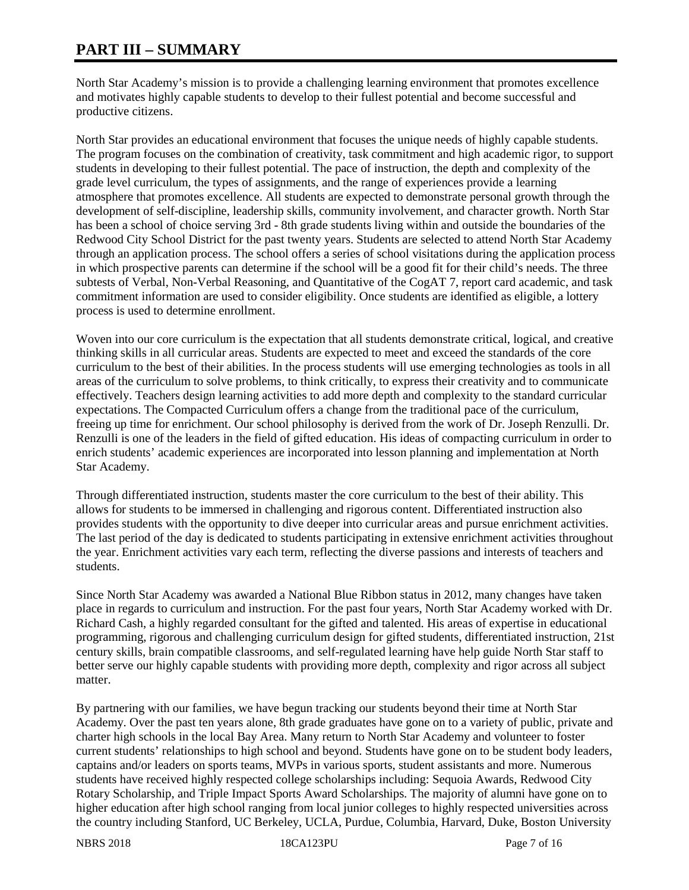# **PART III – SUMMARY**

North Star Academy's mission is to provide a challenging learning environment that promotes excellence and motivates highly capable students to develop to their fullest potential and become successful and productive citizens.

North Star provides an educational environment that focuses the unique needs of highly capable students. The program focuses on the combination of creativity, task commitment and high academic rigor, to support students in developing to their fullest potential. The pace of instruction, the depth and complexity of the grade level curriculum, the types of assignments, and the range of experiences provide a learning atmosphere that promotes excellence. All students are expected to demonstrate personal growth through the development of self-discipline, leadership skills, community involvement, and character growth. North Star has been a school of choice serving 3rd - 8th grade students living within and outside the boundaries of the Redwood City School District for the past twenty years. Students are selected to attend North Star Academy through an application process. The school offers a series of school visitations during the application process in which prospective parents can determine if the school will be a good fit for their child's needs. The three subtests of Verbal, Non-Verbal Reasoning, and Quantitative of the CogAT 7, report card academic, and task commitment information are used to consider eligibility. Once students are identified as eligible, a lottery process is used to determine enrollment.

Woven into our core curriculum is the expectation that all students demonstrate critical, logical, and creative thinking skills in all curricular areas. Students are expected to meet and exceed the standards of the core curriculum to the best of their abilities. In the process students will use emerging technologies as tools in all areas of the curriculum to solve problems, to think critically, to express their creativity and to communicate effectively. Teachers design learning activities to add more depth and complexity to the standard curricular expectations. The Compacted Curriculum offers a change from the traditional pace of the curriculum, freeing up time for enrichment. Our school philosophy is derived from the work of Dr. Joseph Renzulli. Dr. Renzulli is one of the leaders in the field of gifted education. His ideas of compacting curriculum in order to enrich students' academic experiences are incorporated into lesson planning and implementation at North Star Academy.

Through differentiated instruction, students master the core curriculum to the best of their ability. This allows for students to be immersed in challenging and rigorous content. Differentiated instruction also provides students with the opportunity to dive deeper into curricular areas and pursue enrichment activities. The last period of the day is dedicated to students participating in extensive enrichment activities throughout the year. Enrichment activities vary each term, reflecting the diverse passions and interests of teachers and students.

Since North Star Academy was awarded a National Blue Ribbon status in 2012, many changes have taken place in regards to curriculum and instruction. For the past four years, North Star Academy worked with Dr. Richard Cash, a highly regarded consultant for the gifted and talented. His areas of expertise in educational programming, rigorous and challenging curriculum design for gifted students, differentiated instruction, 21st century skills, brain compatible classrooms, and self-regulated learning have help guide North Star staff to better serve our highly capable students with providing more depth, complexity and rigor across all subject matter.

By partnering with our families, we have begun tracking our students beyond their time at North Star Academy. Over the past ten years alone, 8th grade graduates have gone on to a variety of public, private and charter high schools in the local Bay Area. Many return to North Star Academy and volunteer to foster current students' relationships to high school and beyond. Students have gone on to be student body leaders, captains and/or leaders on sports teams, MVPs in various sports, student assistants and more. Numerous students have received highly respected college scholarships including: Sequoia Awards, Redwood City Rotary Scholarship, and Triple Impact Sports Award Scholarships. The majority of alumni have gone on to higher education after high school ranging from local junior colleges to highly respected universities across the country including Stanford, UC Berkeley, UCLA, Purdue, Columbia, Harvard, Duke, Boston University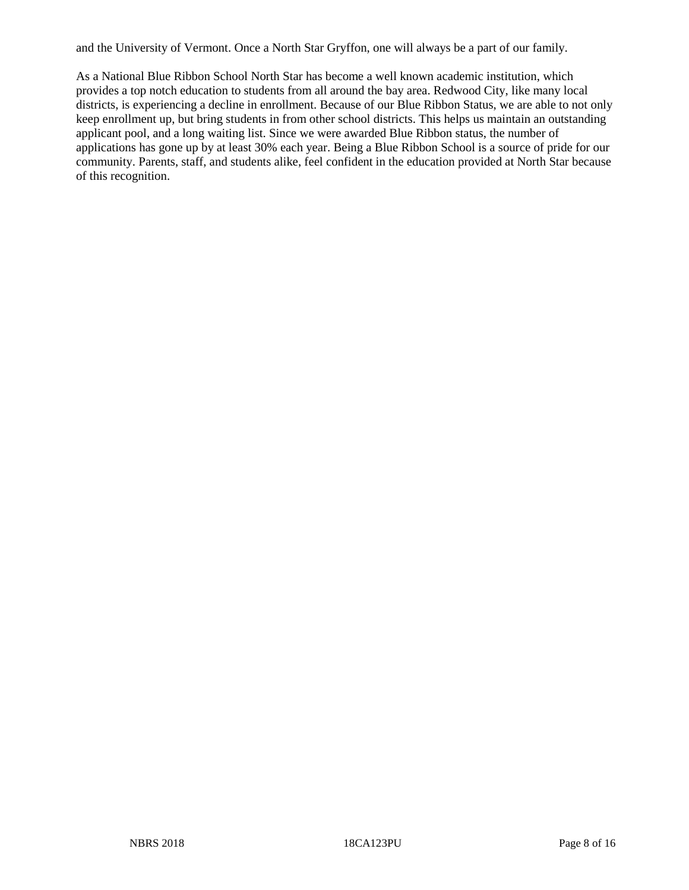and the University of Vermont. Once a North Star Gryffon, one will always be a part of our family.

As a National Blue Ribbon School North Star has become a well known academic institution, which provides a top notch education to students from all around the bay area. Redwood City, like many local districts, is experiencing a decline in enrollment. Because of our Blue Ribbon Status, we are able to not only keep enrollment up, but bring students in from other school districts. This helps us maintain an outstanding applicant pool, and a long waiting list. Since we were awarded Blue Ribbon status, the number of applications has gone up by at least 30% each year. Being a Blue Ribbon School is a source of pride for our community. Parents, staff, and students alike, feel confident in the education provided at North Star because of this recognition.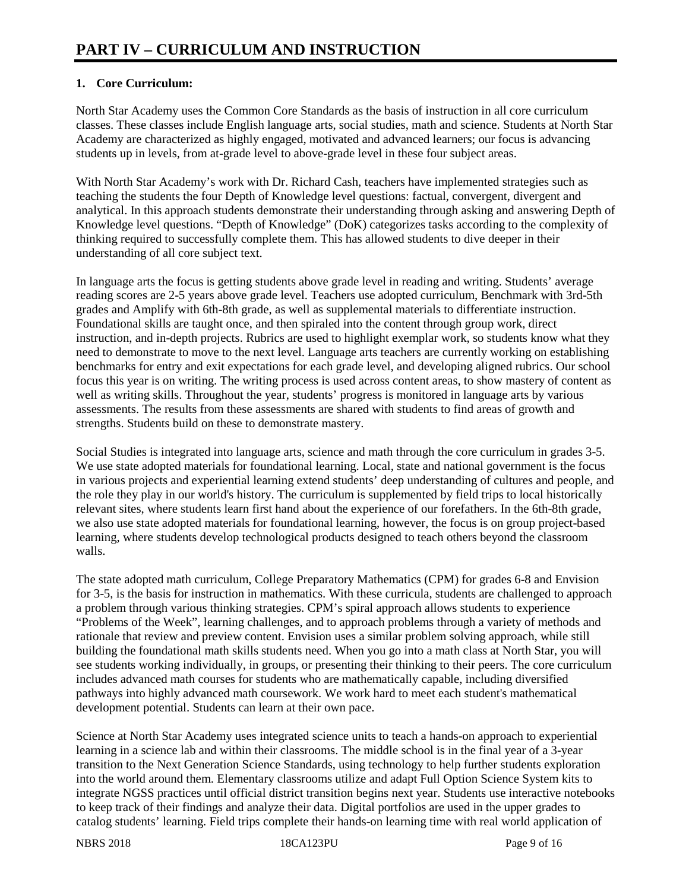## **1. Core Curriculum:**

North Star Academy uses the Common Core Standards as the basis of instruction in all core curriculum classes. These classes include English language arts, social studies, math and science. Students at North Star Academy are characterized as highly engaged, motivated and advanced learners; our focus is advancing students up in levels, from at-grade level to above-grade level in these four subject areas.

With North Star Academy's work with Dr. Richard Cash, teachers have implemented strategies such as teaching the students the four Depth of Knowledge level questions: factual, convergent, divergent and analytical. In this approach students demonstrate their understanding through asking and answering Depth of Knowledge level questions. "Depth of Knowledge" (DoK) categorizes tasks according to the complexity of thinking required to successfully complete them. This has allowed students to dive deeper in their understanding of all core subject text.

In language arts the focus is getting students above grade level in reading and writing. Students' average reading scores are 2-5 years above grade level. Teachers use adopted curriculum, Benchmark with 3rd-5th grades and Amplify with 6th-8th grade, as well as supplemental materials to differentiate instruction. Foundational skills are taught once, and then spiraled into the content through group work, direct instruction, and in-depth projects. Rubrics are used to highlight exemplar work, so students know what they need to demonstrate to move to the next level. Language arts teachers are currently working on establishing benchmarks for entry and exit expectations for each grade level, and developing aligned rubrics. Our school focus this year is on writing. The writing process is used across content areas, to show mastery of content as well as writing skills. Throughout the year, students' progress is monitored in language arts by various assessments. The results from these assessments are shared with students to find areas of growth and strengths. Students build on these to demonstrate mastery.

Social Studies is integrated into language arts, science and math through the core curriculum in grades 3-5. We use state adopted materials for foundational learning. Local, state and national government is the focus in various projects and experiential learning extend students' deep understanding of cultures and people, and the role they play in our world's history. The curriculum is supplemented by field trips to local historically relevant sites, where students learn first hand about the experience of our forefathers. In the 6th-8th grade, we also use state adopted materials for foundational learning, however, the focus is on group project-based learning, where students develop technological products designed to teach others beyond the classroom walls.

The state adopted math curriculum, College Preparatory Mathematics (CPM) for grades 6-8 and Envision for 3-5, is the basis for instruction in mathematics. With these curricula, students are challenged to approach a problem through various thinking strategies. CPM's spiral approach allows students to experience "Problems of the Week", learning challenges, and to approach problems through a variety of methods and rationale that review and preview content. Envision uses a similar problem solving approach, while still building the foundational math skills students need. When you go into a math class at North Star, you will see students working individually, in groups, or presenting their thinking to their peers. The core curriculum includes advanced math courses for students who are mathematically capable, including diversified pathways into highly advanced math coursework. We work hard to meet each student's mathematical development potential. Students can learn at their own pace.

Science at North Star Academy uses integrated science units to teach a hands-on approach to experiential learning in a science lab and within their classrooms. The middle school is in the final year of a 3-year transition to the Next Generation Science Standards, using technology to help further students exploration into the world around them. Elementary classrooms utilize and adapt Full Option Science System kits to integrate NGSS practices until official district transition begins next year. Students use interactive notebooks to keep track of their findings and analyze their data. Digital portfolios are used in the upper grades to catalog students' learning. Field trips complete their hands-on learning time with real world application of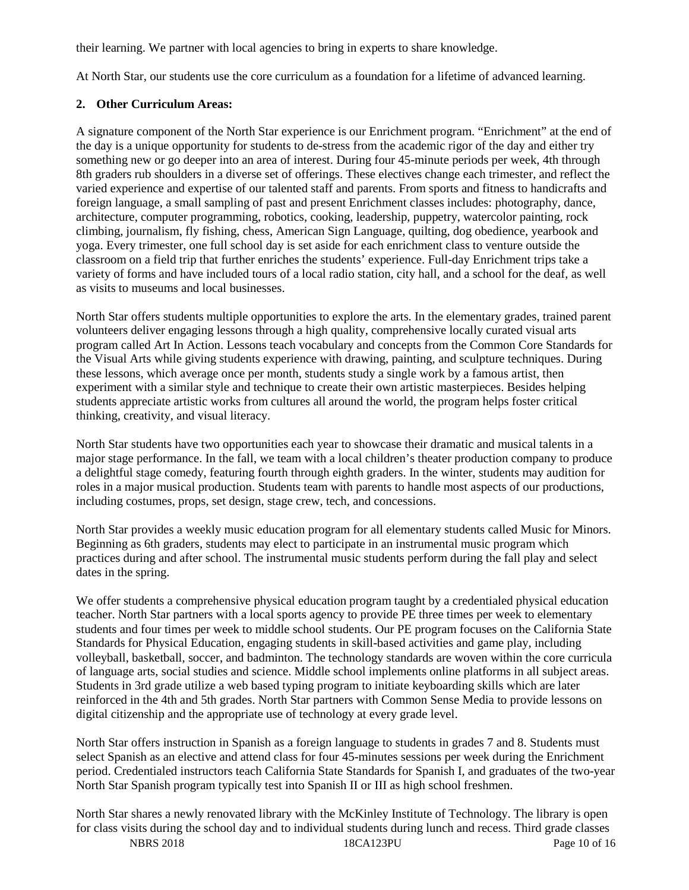their learning. We partner with local agencies to bring in experts to share knowledge.

At North Star, our students use the core curriculum as a foundation for a lifetime of advanced learning.

#### **2. Other Curriculum Areas:**

A signature component of the North Star experience is our Enrichment program. "Enrichment" at the end of the day is a unique opportunity for students to de-stress from the academic rigor of the day and either try something new or go deeper into an area of interest. During four 45-minute periods per week, 4th through 8th graders rub shoulders in a diverse set of offerings. These electives change each trimester, and reflect the varied experience and expertise of our talented staff and parents. From sports and fitness to handicrafts and foreign language, a small sampling of past and present Enrichment classes includes: photography, dance, architecture, computer programming, robotics, cooking, leadership, puppetry, watercolor painting, rock climbing, journalism, fly fishing, chess, American Sign Language, quilting, dog obedience, yearbook and yoga. Every trimester, one full school day is set aside for each enrichment class to venture outside the classroom on a field trip that further enriches the students' experience. Full-day Enrichment trips take a variety of forms and have included tours of a local radio station, city hall, and a school for the deaf, as well as visits to museums and local businesses.

North Star offers students multiple opportunities to explore the arts. In the elementary grades, trained parent volunteers deliver engaging lessons through a high quality, comprehensive locally curated visual arts program called Art In Action. Lessons teach vocabulary and concepts from the Common Core Standards for the Visual Arts while giving students experience with drawing, painting, and sculpture techniques. During these lessons, which average once per month, students study a single work by a famous artist, then experiment with a similar style and technique to create their own artistic masterpieces. Besides helping students appreciate artistic works from cultures all around the world, the program helps foster critical thinking, creativity, and visual literacy.

North Star students have two opportunities each year to showcase their dramatic and musical talents in a major stage performance. In the fall, we team with a local children's theater production company to produce a delightful stage comedy, featuring fourth through eighth graders. In the winter, students may audition for roles in a major musical production. Students team with parents to handle most aspects of our productions, including costumes, props, set design, stage crew, tech, and concessions.

North Star provides a weekly music education program for all elementary students called Music for Minors. Beginning as 6th graders, students may elect to participate in an instrumental music program which practices during and after school. The instrumental music students perform during the fall play and select dates in the spring.

We offer students a comprehensive physical education program taught by a credentialed physical education teacher. North Star partners with a local sports agency to provide PE three times per week to elementary students and four times per week to middle school students. Our PE program focuses on the California State Standards for Physical Education, engaging students in skill-based activities and game play, including volleyball, basketball, soccer, and badminton. The technology standards are woven within the core curricula of language arts, social studies and science. Middle school implements online platforms in all subject areas. Students in 3rd grade utilize a web based typing program to initiate keyboarding skills which are later reinforced in the 4th and 5th grades. North Star partners with Common Sense Media to provide lessons on digital citizenship and the appropriate use of technology at every grade level.

North Star offers instruction in Spanish as a foreign language to students in grades 7 and 8. Students must select Spanish as an elective and attend class for four 45-minutes sessions per week during the Enrichment period. Credentialed instructors teach California State Standards for Spanish I, and graduates of the two-year North Star Spanish program typically test into Spanish II or III as high school freshmen.

NBRS 2018 18CA123PU Page 10 of 16 North Star shares a newly renovated library with the McKinley Institute of Technology. The library is open for class visits during the school day and to individual students during lunch and recess. Third grade classes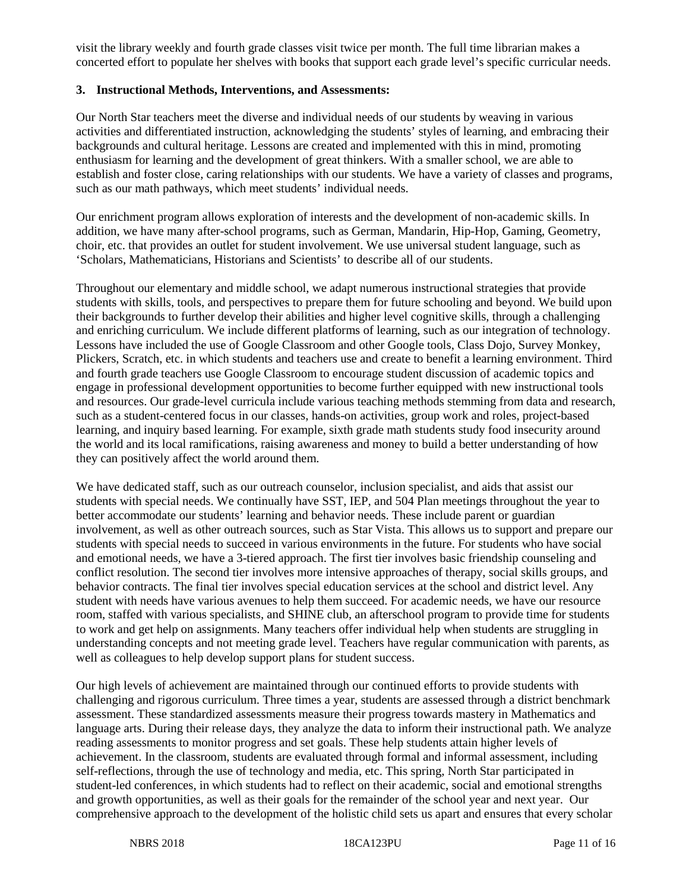visit the library weekly and fourth grade classes visit twice per month. The full time librarian makes a concerted effort to populate her shelves with books that support each grade level's specific curricular needs.

#### **3. Instructional Methods, Interventions, and Assessments:**

Our North Star teachers meet the diverse and individual needs of our students by weaving in various activities and differentiated instruction, acknowledging the students' styles of learning, and embracing their backgrounds and cultural heritage. Lessons are created and implemented with this in mind, promoting enthusiasm for learning and the development of great thinkers. With a smaller school, we are able to establish and foster close, caring relationships with our students. We have a variety of classes and programs, such as our math pathways, which meet students' individual needs.

Our enrichment program allows exploration of interests and the development of non-academic skills. In addition, we have many after-school programs, such as German, Mandarin, Hip-Hop, Gaming, Geometry, choir, etc. that provides an outlet for student involvement. We use universal student language, such as 'Scholars, Mathematicians, Historians and Scientists' to describe all of our students.

Throughout our elementary and middle school, we adapt numerous instructional strategies that provide students with skills, tools, and perspectives to prepare them for future schooling and beyond. We build upon their backgrounds to further develop their abilities and higher level cognitive skills, through a challenging and enriching curriculum. We include different platforms of learning, such as our integration of technology. Lessons have included the use of Google Classroom and other Google tools, Class Dojo, Survey Monkey, Plickers, Scratch, etc. in which students and teachers use and create to benefit a learning environment. Third and fourth grade teachers use Google Classroom to encourage student discussion of academic topics and engage in professional development opportunities to become further equipped with new instructional tools and resources. Our grade-level curricula include various teaching methods stemming from data and research, such as a student-centered focus in our classes, hands-on activities, group work and roles, project-based learning, and inquiry based learning. For example, sixth grade math students study food insecurity around the world and its local ramifications, raising awareness and money to build a better understanding of how they can positively affect the world around them.

We have dedicated staff, such as our outreach counselor, inclusion specialist, and aids that assist our students with special needs. We continually have SST, IEP, and 504 Plan meetings throughout the year to better accommodate our students' learning and behavior needs. These include parent or guardian involvement, as well as other outreach sources, such as Star Vista. This allows us to support and prepare our students with special needs to succeed in various environments in the future. For students who have social and emotional needs, we have a 3-tiered approach. The first tier involves basic friendship counseling and conflict resolution. The second tier involves more intensive approaches of therapy, social skills groups, and behavior contracts. The final tier involves special education services at the school and district level. Any student with needs have various avenues to help them succeed. For academic needs, we have our resource room, staffed with various specialists, and SHINE club, an afterschool program to provide time for students to work and get help on assignments. Many teachers offer individual help when students are struggling in understanding concepts and not meeting grade level. Teachers have regular communication with parents, as well as colleagues to help develop support plans for student success.

Our high levels of achievement are maintained through our continued efforts to provide students with challenging and rigorous curriculum. Three times a year, students are assessed through a district benchmark assessment. These standardized assessments measure their progress towards mastery in Mathematics and language arts. During their release days, they analyze the data to inform their instructional path. We analyze reading assessments to monitor progress and set goals. These help students attain higher levels of achievement. In the classroom, students are evaluated through formal and informal assessment, including self-reflections, through the use of technology and media, etc. This spring, North Star participated in student-led conferences, in which students had to reflect on their academic, social and emotional strengths and growth opportunities, as well as their goals for the remainder of the school year and next year. Our comprehensive approach to the development of the holistic child sets us apart and ensures that every scholar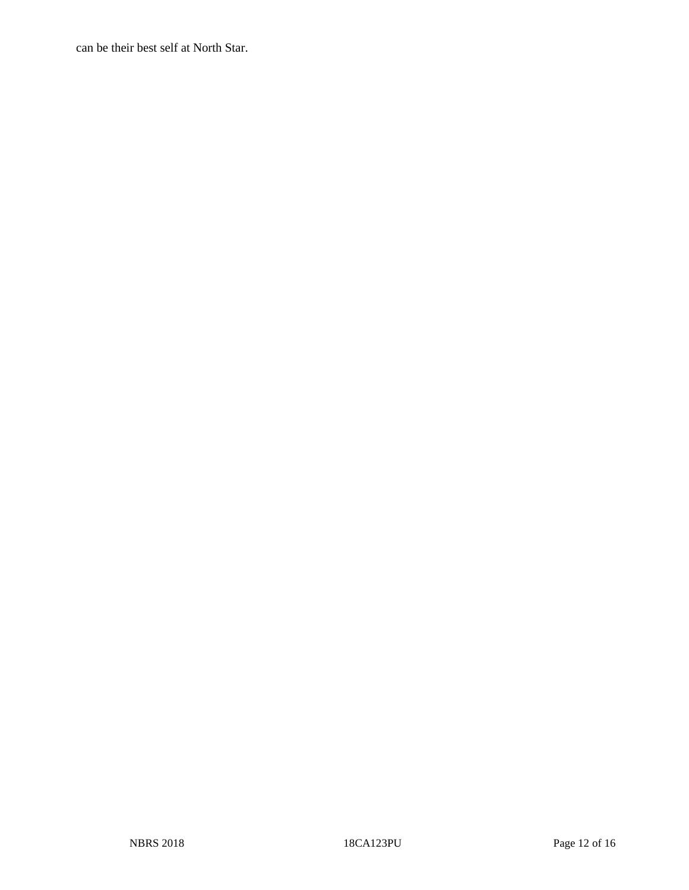can be their best self at North Star.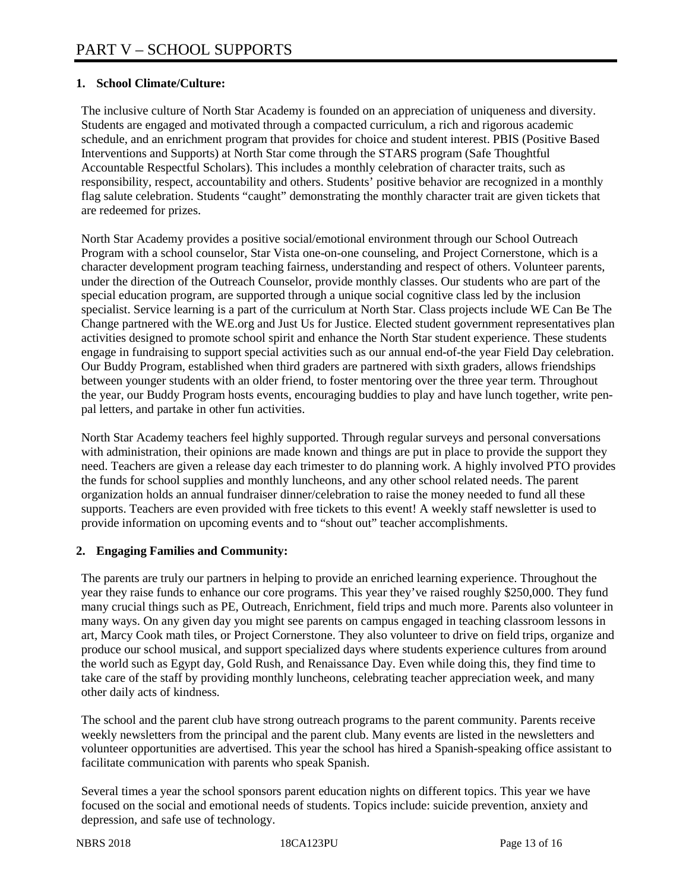## **1. School Climate/Culture:**

The inclusive culture of North Star Academy is founded on an appreciation of uniqueness and diversity. Students are engaged and motivated through a compacted curriculum, a rich and rigorous academic schedule, and an enrichment program that provides for choice and student interest. PBIS (Positive Based Interventions and Supports) at North Star come through the STARS program (Safe Thoughtful Accountable Respectful Scholars). This includes a monthly celebration of character traits, such as responsibility, respect, accountability and others. Students' positive behavior are recognized in a monthly flag salute celebration. Students "caught" demonstrating the monthly character trait are given tickets that are redeemed for prizes.

North Star Academy provides a positive social/emotional environment through our School Outreach Program with a school counselor, Star Vista one-on-one counseling, and Project Cornerstone, which is a character development program teaching fairness, understanding and respect of others. Volunteer parents, under the direction of the Outreach Counselor, provide monthly classes. Our students who are part of the special education program, are supported through a unique social cognitive class led by the inclusion specialist. Service learning is a part of the curriculum at North Star. Class projects include WE Can Be The Change partnered with the WE.org and Just Us for Justice. Elected student government representatives plan activities designed to promote school spirit and enhance the North Star student experience. These students engage in fundraising to support special activities such as our annual end-of-the year Field Day celebration. Our Buddy Program, established when third graders are partnered with sixth graders, allows friendships between younger students with an older friend, to foster mentoring over the three year term. Throughout the year, our Buddy Program hosts events, encouraging buddies to play and have lunch together, write penpal letters, and partake in other fun activities.

North Star Academy teachers feel highly supported. Through regular surveys and personal conversations with administration, their opinions are made known and things are put in place to provide the support they need. Teachers are given a release day each trimester to do planning work. A highly involved PTO provides the funds for school supplies and monthly luncheons, and any other school related needs. The parent organization holds an annual fundraiser dinner/celebration to raise the money needed to fund all these supports. Teachers are even provided with free tickets to this event! A weekly staff newsletter is used to provide information on upcoming events and to "shout out" teacher accomplishments.

## **2. Engaging Families and Community:**

The parents are truly our partners in helping to provide an enriched learning experience. Throughout the year they raise funds to enhance our core programs. This year they've raised roughly \$250,000. They fund many crucial things such as PE, Outreach, Enrichment, field trips and much more. Parents also volunteer in many ways. On any given day you might see parents on campus engaged in teaching classroom lessons in art, Marcy Cook math tiles, or Project Cornerstone. They also volunteer to drive on field trips, organize and produce our school musical, and support specialized days where students experience cultures from around the world such as Egypt day, Gold Rush, and Renaissance Day. Even while doing this, they find time to take care of the staff by providing monthly luncheons, celebrating teacher appreciation week, and many other daily acts of kindness.

The school and the parent club have strong outreach programs to the parent community. Parents receive weekly newsletters from the principal and the parent club. Many events are listed in the newsletters and volunteer opportunities are advertised. This year the school has hired a Spanish-speaking office assistant to facilitate communication with parents who speak Spanish.

Several times a year the school sponsors parent education nights on different topics. This year we have focused on the social and emotional needs of students. Topics include: suicide prevention, anxiety and depression, and safe use of technology.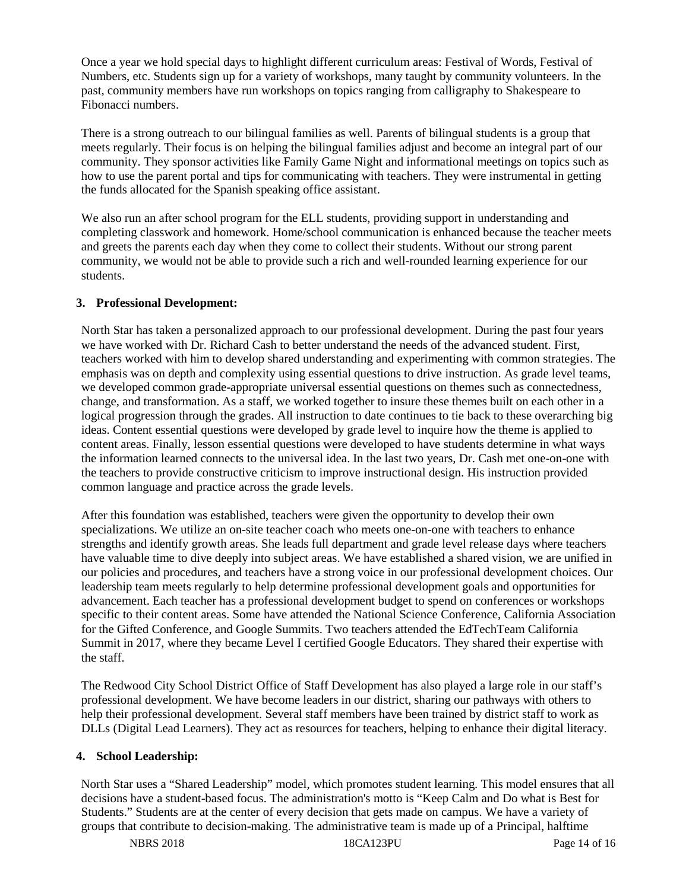Once a year we hold special days to highlight different curriculum areas: Festival of Words, Festival of Numbers, etc. Students sign up for a variety of workshops, many taught by community volunteers. In the past, community members have run workshops on topics ranging from calligraphy to Shakespeare to Fibonacci numbers.

There is a strong outreach to our bilingual families as well. Parents of bilingual students is a group that meets regularly. Their focus is on helping the bilingual families adjust and become an integral part of our community. They sponsor activities like Family Game Night and informational meetings on topics such as how to use the parent portal and tips for communicating with teachers. They were instrumental in getting the funds allocated for the Spanish speaking office assistant.

We also run an after school program for the ELL students, providing support in understanding and completing classwork and homework. Home/school communication is enhanced because the teacher meets and greets the parents each day when they come to collect their students. Without our strong parent community, we would not be able to provide such a rich and well-rounded learning experience for our students.

## **3. Professional Development:**

North Star has taken a personalized approach to our professional development. During the past four years we have worked with Dr. Richard Cash to better understand the needs of the advanced student. First, teachers worked with him to develop shared understanding and experimenting with common strategies. The emphasis was on depth and complexity using essential questions to drive instruction. As grade level teams, we developed common grade-appropriate universal essential questions on themes such as connectedness, change, and transformation. As a staff, we worked together to insure these themes built on each other in a logical progression through the grades. All instruction to date continues to tie back to these overarching big ideas. Content essential questions were developed by grade level to inquire how the theme is applied to content areas. Finally, lesson essential questions were developed to have students determine in what ways the information learned connects to the universal idea. In the last two years, Dr. Cash met one-on-one with the teachers to provide constructive criticism to improve instructional design. His instruction provided common language and practice across the grade levels.

After this foundation was established, teachers were given the opportunity to develop their own specializations. We utilize an on-site teacher coach who meets one-on-one with teachers to enhance strengths and identify growth areas. She leads full department and grade level release days where teachers have valuable time to dive deeply into subject areas. We have established a shared vision, we are unified in our policies and procedures, and teachers have a strong voice in our professional development choices. Our leadership team meets regularly to help determine professional development goals and opportunities for advancement. Each teacher has a professional development budget to spend on conferences or workshops specific to their content areas. Some have attended the National Science Conference, California Association for the Gifted Conference, and Google Summits. Two teachers attended the EdTechTeam California Summit in 2017, where they became Level I certified Google Educators. They shared their expertise with the staff.

The Redwood City School District Office of Staff Development has also played a large role in our staff's professional development. We have become leaders in our district, sharing our pathways with others to help their professional development. Several staff members have been trained by district staff to work as DLLs (Digital Lead Learners). They act as resources for teachers, helping to enhance their digital literacy.

#### **4. School Leadership:**

North Star uses a "Shared Leadership" model, which promotes student learning. This model ensures that all decisions have a student-based focus. The administration's motto is "Keep Calm and Do what is Best for Students." Students are at the center of every decision that gets made on campus. We have a variety of groups that contribute to decision-making. The administrative team is made up of a Principal, halftime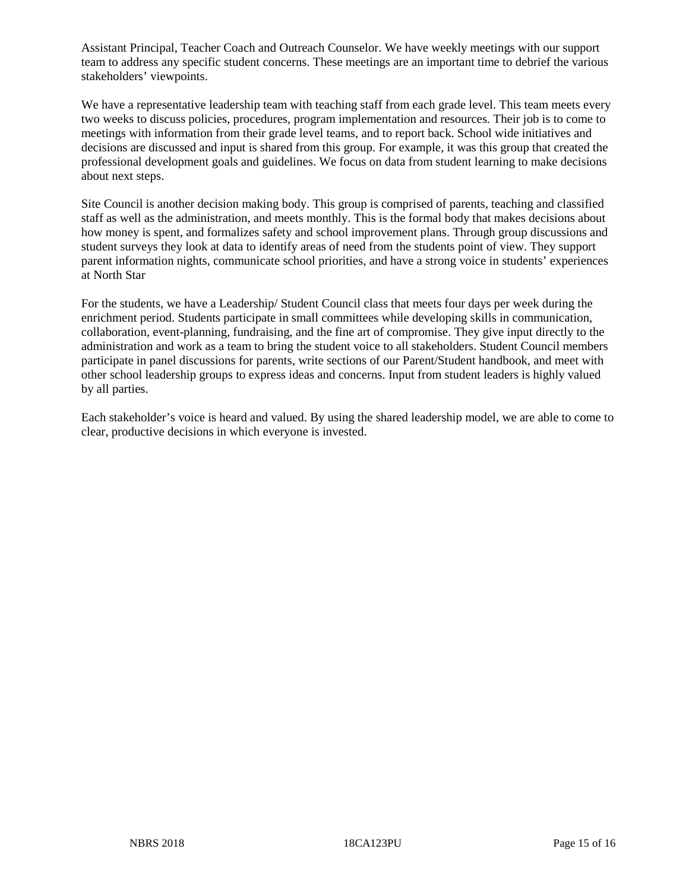Assistant Principal, Teacher Coach and Outreach Counselor. We have weekly meetings with our support team to address any specific student concerns. These meetings are an important time to debrief the various stakeholders' viewpoints.

We have a representative leadership team with teaching staff from each grade level. This team meets every two weeks to discuss policies, procedures, program implementation and resources. Their job is to come to meetings with information from their grade level teams, and to report back. School wide initiatives and decisions are discussed and input is shared from this group. For example, it was this group that created the professional development goals and guidelines. We focus on data from student learning to make decisions about next steps.

Site Council is another decision making body. This group is comprised of parents, teaching and classified staff as well as the administration, and meets monthly. This is the formal body that makes decisions about how money is spent, and formalizes safety and school improvement plans. Through group discussions and student surveys they look at data to identify areas of need from the students point of view. They support parent information nights, communicate school priorities, and have a strong voice in students' experiences at North Star

For the students, we have a Leadership/ Student Council class that meets four days per week during the enrichment period. Students participate in small committees while developing skills in communication, collaboration, event-planning, fundraising, and the fine art of compromise. They give input directly to the administration and work as a team to bring the student voice to all stakeholders. Student Council members participate in panel discussions for parents, write sections of our Parent/Student handbook, and meet with other school leadership groups to express ideas and concerns. Input from student leaders is highly valued by all parties.

Each stakeholder's voice is heard and valued. By using the shared leadership model, we are able to come to clear, productive decisions in which everyone is invested.